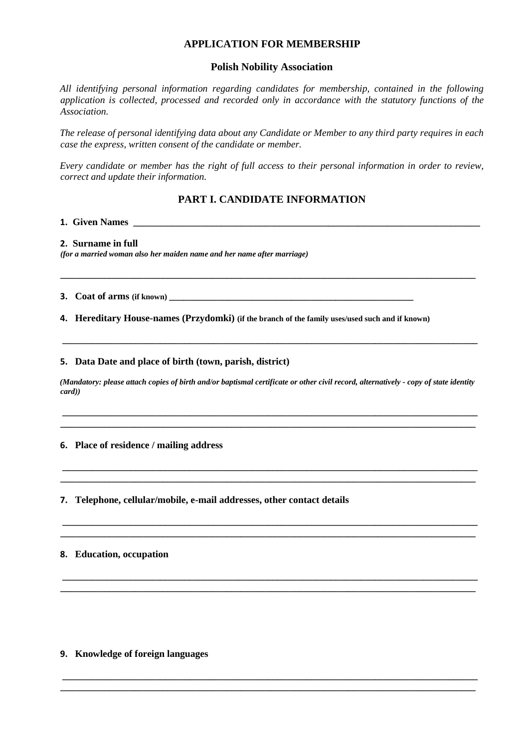# **APPLICATION FOR MEMBERSHIP**

### **Polish Nobility Association**

*All identifying personal information regarding candidates for membership, contained in the following application is collected, processed and recorded only in accordance with the statutory functions of the Association.* 

*The release of personal identifying data about any Candidate or Member to any third party requires in each case the express, written consent of the candidate or member.* 

*Every candidate or member has the right of full access to their personal information in order to review, correct and update their information.* 

# **PART I. CANDIDATE INFORMATION**

**\_\_\_\_\_\_\_\_\_\_\_\_\_\_\_\_\_\_\_\_\_\_\_\_\_\_\_\_\_\_\_\_\_\_\_\_\_\_\_\_\_\_\_\_\_\_\_\_\_\_\_\_\_\_\_\_\_\_\_\_\_\_\_\_\_\_\_\_\_\_\_\_\_\_\_\_\_\_\_\_\_\_\_\_\_** 

**1. Given Names \_\_\_\_\_\_\_\_\_\_\_\_\_\_\_\_\_\_\_\_\_\_\_\_\_\_\_\_\_\_\_\_\_\_\_\_\_\_\_\_\_\_\_\_\_\_\_\_\_\_\_\_\_\_\_\_\_\_\_\_\_\_\_\_\_\_\_\_\_\_\_** 

**2. Surname in full**

*(for a married woman also her maiden name and her name after marriage)* 

**3.** *Coat of arms (if known)* 

**4. Hereditary House-names (Przydomki) (if the branch of the family uses/used such and if known)** 

#### **5. Data Date and place of birth (town, parish, district)**

*(Mandatory: please attach copies of birth and/or baptismal certificate or other civil record, alternatively - copy of state identity card))* 

**\_\_\_\_\_\_\_\_\_\_\_\_\_\_\_\_\_\_\_\_\_\_\_\_\_\_\_\_\_\_\_\_\_\_\_\_\_\_\_\_\_\_\_\_\_\_\_\_\_\_\_\_\_\_\_\_\_\_\_\_\_\_\_\_\_\_\_\_\_\_\_\_\_\_\_\_\_\_\_\_\_\_\_\_\_ \_\_\_\_\_\_\_\_\_\_\_\_\_\_\_\_\_\_\_\_\_\_\_\_\_\_\_\_\_\_\_\_\_\_\_\_\_\_\_\_\_\_\_\_\_\_\_\_\_\_\_\_\_\_\_\_\_\_\_\_\_\_\_\_\_\_\_\_\_\_\_\_\_\_\_\_\_\_\_\_\_\_\_\_\_** 

**\_\_\_\_\_\_\_\_\_\_\_\_\_\_\_\_\_\_\_\_\_\_\_\_\_\_\_\_\_\_\_\_\_\_\_\_\_\_\_\_\_\_\_\_\_\_\_\_\_\_\_\_\_\_\_\_\_\_\_\_\_\_\_\_\_\_\_\_\_\_\_\_\_\_\_\_\_\_\_\_\_\_\_\_\_ \_\_\_\_\_\_\_\_\_\_\_\_\_\_\_\_\_\_\_\_\_\_\_\_\_\_\_\_\_\_\_\_\_\_\_\_\_\_\_\_\_\_\_\_\_\_\_\_\_\_\_\_\_\_\_\_\_\_\_\_\_\_\_\_\_\_\_\_\_\_\_\_\_\_\_\_\_\_\_\_\_\_\_\_\_** 

**\_\_\_\_\_\_\_\_\_\_\_\_\_\_\_\_\_\_\_\_\_\_\_\_\_\_\_\_\_\_\_\_\_\_\_\_\_\_\_\_\_\_\_\_\_\_\_\_\_\_\_\_\_\_\_\_\_\_\_\_\_\_\_\_\_\_\_\_\_\_\_\_\_\_\_\_\_\_\_\_\_\_\_\_\_ \_\_\_\_\_\_\_\_\_\_\_\_\_\_\_\_\_\_\_\_\_\_\_\_\_\_\_\_\_\_\_\_\_\_\_\_\_\_\_\_\_\_\_\_\_\_\_\_\_\_\_\_\_\_\_\_\_\_\_\_\_\_\_\_\_\_\_\_\_\_\_\_\_\_\_\_\_\_\_\_\_\_\_\_\_** 

**\_\_\_\_\_\_\_\_\_\_\_\_\_\_\_\_\_\_\_\_\_\_\_\_\_\_\_\_\_\_\_\_\_\_\_\_\_\_\_\_\_\_\_\_\_\_\_\_\_\_\_\_\_\_\_\_\_\_\_\_\_\_\_\_\_\_\_\_\_\_\_\_\_\_\_\_\_\_\_\_\_\_\_\_\_ \_\_\_\_\_\_\_\_\_\_\_\_\_\_\_\_\_\_\_\_\_\_\_\_\_\_\_\_\_\_\_\_\_\_\_\_\_\_\_\_\_\_\_\_\_\_\_\_\_\_\_\_\_\_\_\_\_\_\_\_\_\_\_\_\_\_\_\_\_\_\_\_\_\_\_\_\_\_\_\_\_\_\_\_\_** 

**\_\_\_\_\_\_\_\_\_\_\_\_\_\_\_\_\_\_\_\_\_\_\_\_\_\_\_\_\_\_\_\_\_\_\_\_\_\_\_\_\_\_\_\_\_\_\_\_\_\_\_\_\_\_\_\_\_\_\_\_\_\_\_\_\_\_\_\_\_\_\_\_\_\_\_\_\_\_\_\_\_\_\_\_\_ \_\_\_\_\_\_\_\_\_\_\_\_\_\_\_\_\_\_\_\_\_\_\_\_\_\_\_\_\_\_\_\_\_\_\_\_\_\_\_\_\_\_\_\_\_\_\_\_\_\_\_\_\_\_\_\_\_\_\_\_\_\_\_\_\_\_\_\_\_\_\_\_\_\_\_\_\_\_\_\_\_\_\_\_\_** 

**\_\_\_\_\_\_\_\_\_\_\_\_\_\_\_\_\_\_\_\_\_\_\_\_\_\_\_\_\_\_\_\_\_\_\_\_\_\_\_\_\_\_\_\_\_\_\_\_\_\_\_\_\_\_\_\_\_\_\_\_\_\_\_\_\_\_\_\_\_\_\_\_\_\_\_\_\_\_\_\_\_\_\_\_\_** 

### **6. Place of residence / mailing address**

**7. Telephone, cellular/mobile, e-mail addresses, other contact details** 

## **8. Education, occupation**

**9. Knowledge of foreign languages**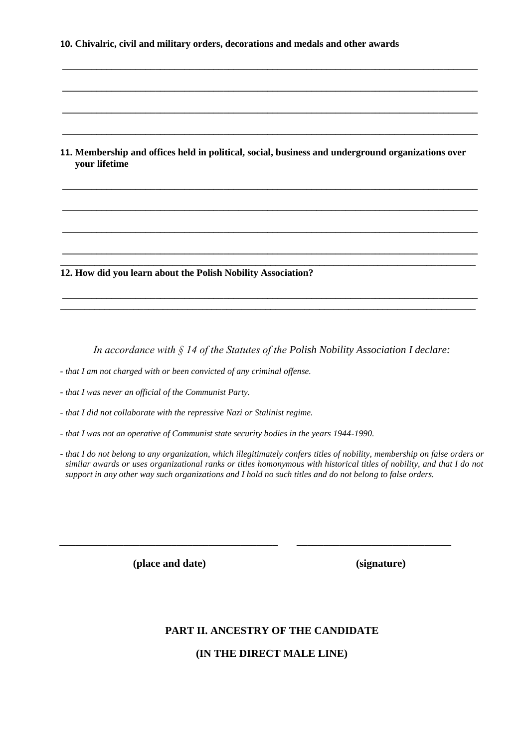|  | 10. Chivalric, civil and military orders, decorations and medals and other awards |  |  |  |  |
|--|-----------------------------------------------------------------------------------|--|--|--|--|
|  |                                                                                   |  |  |  |  |

**11. Membership and offices held in political, social, business and underground organizations over your lifetime** 

**\_\_\_\_\_\_\_\_\_\_\_\_\_\_\_\_\_\_\_\_\_\_\_\_\_\_\_\_\_\_\_\_\_\_\_\_\_\_\_\_\_\_\_\_\_\_\_\_\_\_\_\_\_\_\_\_\_\_\_\_\_\_\_\_\_\_\_\_\_\_\_\_\_\_\_\_\_\_\_\_\_\_\_\_\_** 

**\_\_\_\_\_\_\_\_\_\_\_\_\_\_\_\_\_\_\_\_\_\_\_\_\_\_\_\_\_\_\_\_\_\_\_\_\_\_\_\_\_\_\_\_\_\_\_\_\_\_\_\_\_\_\_\_\_\_\_\_\_\_\_\_\_\_\_\_\_\_\_\_\_\_\_\_\_\_\_\_\_\_\_\_\_** 

**\_\_\_\_\_\_\_\_\_\_\_\_\_\_\_\_\_\_\_\_\_\_\_\_\_\_\_\_\_\_\_\_\_\_\_\_\_\_\_\_\_\_\_\_\_\_\_\_\_\_\_\_\_\_\_\_\_\_\_\_\_\_\_\_\_\_\_\_\_\_\_\_\_\_\_\_\_\_\_\_\_\_\_\_\_** 

**\_\_\_\_\_\_\_\_\_\_\_\_\_\_\_\_\_\_\_\_\_\_\_\_\_\_\_\_\_\_\_\_\_\_\_\_\_\_\_\_\_\_\_\_\_\_\_\_\_\_\_\_\_\_\_\_\_\_\_\_\_\_\_\_\_\_\_\_\_\_\_\_\_\_\_\_\_\_\_\_\_\_\_\_\_** 

**\_\_\_\_\_\_\_\_\_\_\_\_\_\_\_\_\_\_\_\_\_\_\_\_\_\_\_\_\_\_\_\_\_\_\_\_\_\_\_\_\_\_\_\_\_\_\_\_\_\_\_\_\_\_\_\_\_\_\_\_\_\_\_\_\_\_\_\_\_\_\_\_\_\_\_\_\_\_\_\_\_\_\_\_\_** 

**\_\_\_\_\_\_\_\_\_\_\_\_\_\_\_\_\_\_\_\_\_\_\_\_\_\_\_\_\_\_\_\_\_\_\_\_\_\_\_\_\_\_\_\_\_\_\_\_\_\_\_\_\_\_\_\_\_\_\_\_\_\_\_\_\_\_\_\_\_\_\_\_\_\_\_\_\_\_\_\_\_\_\_\_\_** 

**\_\_\_\_\_\_\_\_\_\_\_\_\_\_\_\_\_\_\_\_\_\_\_\_\_\_\_\_\_\_\_\_\_\_\_\_\_\_\_\_\_\_\_\_\_\_\_\_\_\_\_\_\_\_\_\_\_\_\_\_\_\_\_\_\_\_\_\_\_\_\_\_\_\_\_\_\_\_\_\_\_\_\_\_\_** 

**\_\_\_\_\_\_\_\_\_\_\_\_\_\_\_\_\_\_\_\_\_\_\_\_\_\_\_\_\_\_\_\_\_\_\_\_\_\_\_\_\_\_\_\_\_\_\_\_\_\_\_\_\_\_\_\_\_\_\_\_\_\_\_\_\_\_\_\_\_\_\_\_\_\_\_\_\_\_\_\_\_\_\_\_\_ \_\_\_\_\_\_\_\_\_\_\_\_\_\_\_\_\_\_\_\_\_\_\_\_\_\_\_\_\_\_\_\_\_\_\_\_\_\_\_\_\_\_\_\_\_\_\_\_\_\_\_\_\_\_\_\_\_\_\_\_\_\_\_\_\_\_\_\_\_\_\_\_\_\_\_\_\_\_\_\_\_\_\_\_\_** 

**\_\_\_\_\_\_\_\_\_\_\_\_\_\_\_\_\_\_\_\_\_\_\_\_\_\_\_\_\_\_\_\_\_\_\_\_\_\_\_\_\_\_\_\_\_\_\_\_\_\_\_\_\_\_\_\_\_\_\_\_\_\_\_\_\_\_\_\_\_\_\_\_\_\_\_\_\_\_\_\_\_\_\_\_\_ \_\_\_\_\_\_\_\_\_\_\_\_\_\_\_\_\_\_\_\_\_\_\_\_\_\_\_\_\_\_\_\_\_\_\_\_\_\_\_\_\_\_\_\_\_\_\_\_\_\_\_\_\_\_\_\_\_\_\_\_\_\_\_\_\_\_\_\_\_\_\_\_\_\_\_\_\_\_\_\_\_\_\_\_\_** 

**12. How did you learn about the Polish Nobility Association?** 

*In accordance with § 14 of the Statutes of the Polish Nobility Association I declare:* 

*- that I am not charged with or been convicted of any criminal offense.*

*- that I was never an official of the Communist Party.* 

*- that I did not collaborate with the repressive Nazi or Stalinist regime.* 

*- that I was not an operative of Communist state security bodies in the years 1944-1990.* 

*- that I do not belong to any organization, which illegitimately confers titles of nobility, membership on false orders or similar awards or uses organizational ranks or titles homonymous with historical titles of nobility, and that I do not support in any other way such organizations and I hold no such titles and do not belong to false orders.* 

**\_\_\_\_\_\_\_\_\_\_\_\_\_\_\_\_\_\_\_\_\_\_\_\_\_\_\_\_\_\_\_\_\_\_\_\_\_\_\_\_\_ \_\_\_\_\_\_\_\_\_\_\_\_\_\_\_\_\_\_\_\_\_\_\_\_\_\_\_\_\_** 

**(place and date) (signature)** 

## **PART II. ANCESTRY OF THE CANDIDATE**

**(IN THE DIRECT MALE LINE)**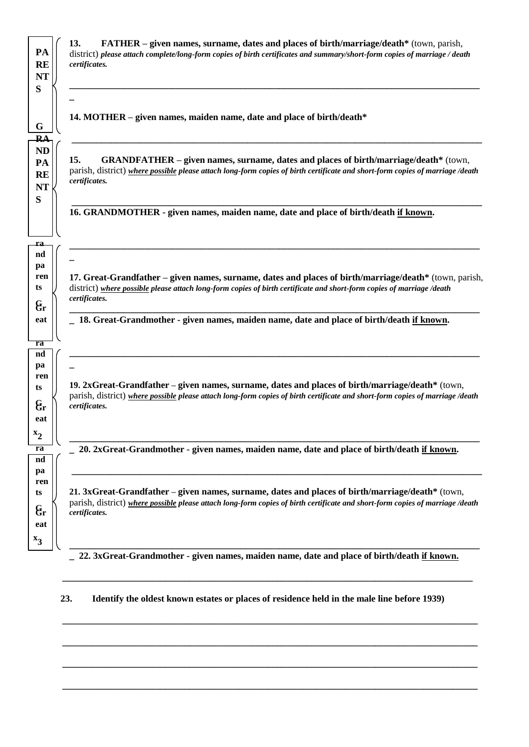

**23. Identify the oldest known estates or places of residence held in the male line before 1939)** 

**\_\_\_\_\_\_\_\_\_\_\_\_\_\_\_\_\_\_\_\_\_\_\_\_\_\_\_\_\_\_\_\_\_\_\_\_\_\_\_\_\_\_\_\_\_\_\_\_\_\_\_\_\_\_\_\_\_\_\_\_\_\_\_\_\_\_\_\_\_\_\_\_\_\_\_\_\_\_\_\_\_\_\_\_\_** 

**\_\_\_\_\_\_\_\_\_\_\_\_\_\_\_\_\_\_\_\_\_\_\_\_\_\_\_\_\_\_\_\_\_\_\_\_\_\_\_\_\_\_\_\_\_\_\_\_\_\_\_\_\_\_\_\_\_\_\_\_\_\_\_\_\_\_\_\_\_\_\_\_\_\_\_\_\_\_\_\_\_\_\_\_\_** 

**\_\_\_\_\_\_\_\_\_\_\_\_\_\_\_\_\_\_\_\_\_\_\_\_\_\_\_\_\_\_\_\_\_\_\_\_\_\_\_\_\_\_\_\_\_\_\_\_\_\_\_\_\_\_\_\_\_\_\_\_\_\_\_\_\_\_\_\_\_\_\_\_\_\_\_\_\_\_\_\_\_\_\_\_\_** 

**\_\_\_\_\_\_\_\_\_\_\_\_\_\_\_\_\_\_\_\_\_\_\_\_\_\_\_\_\_\_\_\_\_\_\_\_\_\_\_\_\_\_\_\_\_\_\_\_\_\_\_\_\_\_\_\_\_\_\_\_\_\_\_\_\_\_\_\_\_\_\_\_\_\_\_\_\_\_\_\_\_\_\_\_\_**